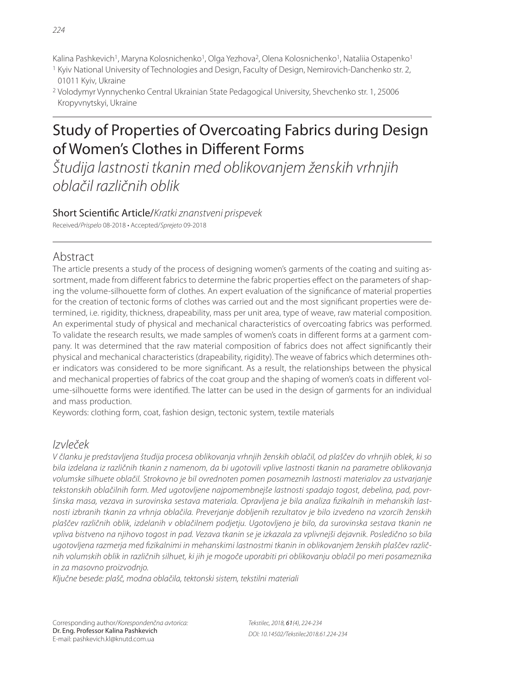Kalina Pashkevich<sup>1</sup>, Maryna Kolosnichenko<sup>1</sup>, Olga Yezhova<sup>2</sup>, Olena Kolosnichenko<sup>1</sup>, Nataliia Ostapenko<sup>1</sup>

- 1 Kyiv National University of Technologies and Design, Faculty of Design, Nemirovich-Danchenko str. 2, 01011 Kyiv, Ukraine
- 2 Volodymyr Vynnychenko Central Ukrainian State Pedagogical University, Shevchenko str. 1, 25006 Kropyvnytskyi, Ukraine

# Study of Properties of Overcoating Fabrics during Design of Women's Clothes in Different Forms

Študija lastnosti tkanin med oblikovanjem ženskih vrhnjih oblačil različnih oblik

## Short Scientific Article/Kratki znanstveni prispevek

Received/Prispelo 08-2018 • Accepted/Sprejeto 09-2018

# Abstract

The article presents a study of the process of designing women's garments of the coating and suiting assortment, made from different fabrics to determine the fabric properties effect on the parameters of shaping the volume-silhouette form of clothes. An expert evaluation of the significance of material properties for the creation of tectonic forms of clothes was carried out and the most significant properties were determined, i.e. rigidity, thickness, drapeability, mass per unit area, type of weave, raw material composition. An experimental study of physical and mechanical characteristics of overcoating fabrics was performed. To validate the research results, we made samples of women's coats in different forms at a garment company. It was determined that the raw material composition of fabrics does not affect significantly their physical and mechanical characteristics (drapeability, rigidity). The weave of fabrics which determines other indicators was considered to be more significant. As a result, the relationships between the physical and mechanical properties of fabrics of the coat group and the shaping of women's coats in different volume-silhouette forms were identified. The latter can be used in the design of garments for an individual and mass production.

Keywords: clothing form, coat, fashion design, tectonic system, textile materials

## Izvleček

V članku je predstavljena študija procesa oblikovanja vrhnjih ženskih oblačil, od plaščev do vrhnjih oblek, ki so bila izdelana iz različnih tkanin z namenom, da bi ugotovili vplive lastnosti tkanin na parametre oblikovanja volumske silhuete oblačil. Strokovno je bil ovrednoten pomen posameznih lastnosti materialov za ustvarjanje tekstonskih oblačilnih form. Med ugotovljene najpomembnejše lastnosti spadajo togost, debelina, pad, površinska masa, vezava in surovinska sestava materiala. Opravljena je bila analiza fizikalnih in mehanskih lastnosti izbranih tkanin za vrhnja oblačila. Preverjanje dobljenih rezultatov je bilo izvedeno na vzorcih ženskih plaščev različnih oblik, izdelanih v oblačilnem podjetju. Ugotovljeno je bilo, da surovinska sestava tkanin ne vpliva bistveno na njihovo togost in pad. Vezava tkanin se je izkazala za vplivnejši dejavnik. Posledično so bila ugotovljena razmerja med fizikalnimi in mehanskimi lastnostmi tkanin in oblikovanjem ženskih plaščev različnih volumskih oblik in različnih silhuet, ki jih je mogoče uporabiti pri oblikovanju oblačil po meri posameznika in za masovno proizvodnjo.

Ključne besede: plašč, modna oblačila, tektonski sistem, tekstilni materiali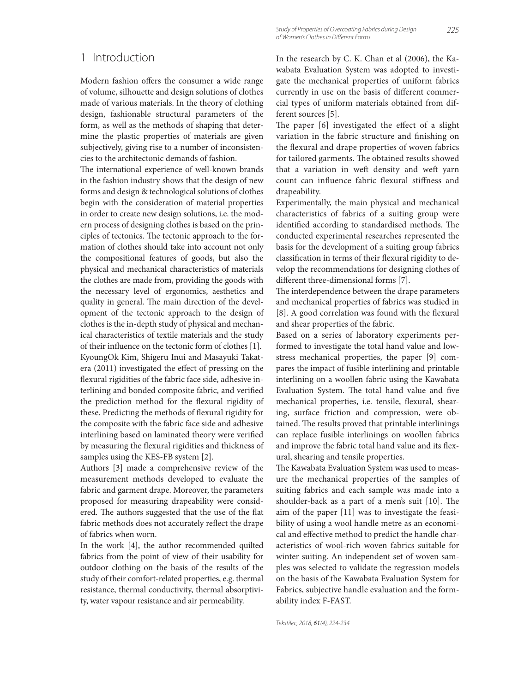#### 1 Introduction

Modern fashion offers the consumer a wide range of volume, silhouette and design solutions of clothes made of various materials. In the theory of clothing design, fashionable structural parameters of the form, as well as the methods of shaping that determine the plastic properties of materials are given subjectively, giving rise to a number of inconsistencies to the architectonic demands of fashion.

The international experience of well-known brands in the fashion industry shows that the design of new forms and design & technological solutions of clothes begin with the consideration of material properties in order to create new design solutions, i.e. the modern process of designing clothes is based on the principles of tectonics. The tectonic approach to the formation of clothes should take into account not only the compositional features of goods, but also the physical and mechanical characteristics of materials the clothes are made from, providing the goods with the necessary level of ergonomics, aesthetics and quality in general. The main direction of the development of the tectonic approach to the design of clothes is the in-depth study of physical and mechanical characteristics of textile materials and the study of their influence on the tectonic form of clothes [1]. KyoungOk Kim, Shigeru Inui and Masayuki Takatera (2011) investigated the effect of pressing on the flexural rigidities of the fabric face side, adhesive interlining and bonded composite fabric, and verified the prediction method for the flexural rigidity of these. Predicting the methods of flexural rigidity for the composite with the fabric face side and adhesive interlining based on laminated theory were verified by measuring the flexural rigidities and thickness of samples using the KES-FB system [2].

Authors [3] made a comprehensive review of the measurement methods developed to evaluate the fabric and garment drape. Moreover, the parameters proposed for measuring drapeability were considered. The authors suggested that the use of the flat fabric methods does not accurately reflect the drape of fabrics when worn.

In the work [4], the author recommended quilted fabrics from the point of view of their usability for outdoor clothing on the basis of the results of the study of their comfort-related properties, e.g. thermal resistance, thermal conductivity, thermal absorptivity, water vapour resistance and air permeability.

In the research by C. K. Chan et al (2006), the Kawabata Evaluation System was adopted to investigate the mechanical properties of uniform fabrics currently in use on the basis of different commercial types of uniform materials obtained from different sources [5].

The paper  $[6]$  investigated the effect of a slight variation in the fabric structure and finishing on the flexural and drape properties of woven fabrics for tailored garments. The obtained results showed that a variation in weft density and weft yarn count can influence fabric flexural stiffness and drapeability.

Experimentally, the main physical and mechanical characteristics of fabrics of a suiting group were identified according to standardised methods. The conducted experimental researches represented the basis for the development of a suiting group fabrics classification in terms of their flexural rigidity to develop the recommendations for designing clothes of different three-dimensional forms [7].

The interdependence between the drape parameters and mechanical properties of fabrics was studied in [8]. A good correlation was found with the flexural and shear properties of the fabric.

Based on a series of laboratory experiments performed to investigate the total hand value and lowstress mechanical properties, the paper [9] compares the impact of fusible interlining and printable interlining on a woollen fabric using the Kawabata Evaluation System. The total hand value and five mechanical properties, i.e. tensile, flexural, shearing, surface friction and compression, were obtained. The results proved that printable interlinings can replace fusible interlinings on woollen fabrics and improve the fabric total hand value and its flexural, shearing and tensile properties.

The Kawabata Evaluation System was used to measure the mechanical properties of the samples of suiting fabrics and each sample was made into a shoulder-back as a part of a men's suit  $[10]$ . The aim of the paper [11] was to investigate the feasibility of using a wool handle metre as an economical and effective method to predict the handle characteristics of wool-rich woven fabrics suitable for winter suiting. An independent set of woven samples was selected to validate the regression models on the basis of the Kawabata Evaluation System for Fabrics, subjective handle evaluation and the formability index F-FAST.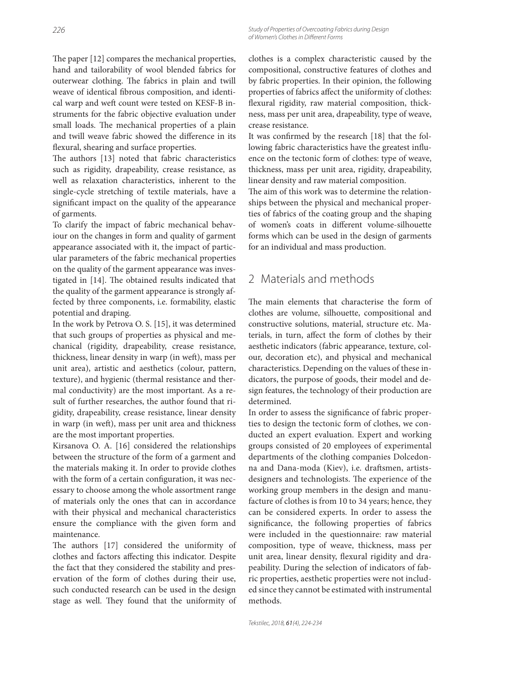The paper  $[12]$  compares the mechanical properties, hand and tailorability of wool blended fabrics for outerwear clothing. The fabrics in plain and twill weave of identical fibrous composition, and identical warp and weft count were tested on KESF-B instruments for the fabric objective evaluation under small loads. The mechanical properties of a plain and twill weave fabric showed the difference in its flexural, shearing and surface properties.

The authors [13] noted that fabric characteristics such as rigidity, drapeability, crease resistance, as well as relaxation characteristics, inherent to the single-cycle stretching of textile materials, have a significant impact on the quality of the appearance of garments.

To clarify the impact of fabric mechanical behaviour on the changes in form and quality of garment appearance associated with it, the impact of particular parameters of the fabric mechanical properties on the quality of the garment appearance was investigated in [14]. The obtained results indicated that the quality of the garment appearance is strongly affected by three components, i.e. formability, elastic potential and draping.

In the work by Petrova O. S. [15], it was determined that such groups of properties as physical and mechanical (rigidity, drapeability, crease resistance, thickness, linear density in warp (in weft), mass per unit area), artistic and aesthetics (colour, pattern, texture), and hygienic (thermal resistance and thermal conductivity) are the most important. As a result of further researches, the author found that rigidity, drapeability, crease resistance, linear density in warp (in weft), mass per unit area and thickness are the most important properties.

Kirsanova O. A. [16] considered the relationships between the structure of the form of a garment and the materials making it. In order to provide clothes with the form of a certain configuration, it was necessary to choose among the whole assortment range of materials only the ones that can in accordance with their physical and mechanical characteristics ensure the compliance with the given form and maintenance.

The authors [17] considered the uniformity of clothes and factors affecting this indicator. Despite the fact that they considered the stability and preservation of the form of clothes during their use, such conducted research can be used in the design stage as well. They found that the uniformity of clothes is a complex characteristic caused by the compositional, constructive features of clothes and by fabric properties. In their opinion, the following properties of fabrics affect the uniformity of clothes: flexural rigidity, raw material composition, thickness, mass per unit area, drapeability, type of weave, crease resistance.

It was confirmed by the research [18] that the following fabric characteristics have the greatest influence on the tectonic form of clothes: type of weave, thickness, mass per unit area, rigidity, drapeability, linear density and raw material composition.

The aim of this work was to determine the relationships between the physical and mechanical properties of fabrics of the coating group and the shaping of women's coats in different volume-silhouette forms which can be used in the design of garments for an individual and mass production.

#### 2 Materials and methods

The main elements that characterise the form of clothes are volume, silhouette, compositional and constructive solutions, material, structure etc. Materials, in turn, affect the form of clothes by their aesthetic indicators (fabric appearance, texture, colour, decoration etc), and physical and mechanical characteristics. Depending on the values of these indicators, the purpose of goods, their model and design features, the technology of their production are determined.

In order to assess the significance of fabric properties to design the tectonic form of clothes, we conducted an expert evaluation. Expert and working groups consisted of 20 employees of experimental departments of the clothing companies Dolcedonna and Dana-moda (Kiev), i.e. draftsmen, artistsdesigners and technologists. The experience of the working group members in the design and manufacture of clothes is from 10 to 34 years; hence, they can be considered experts. In order to assess the significance, the following properties of fabrics were included in the questionnaire: raw material composition, type of weave, thickness, mass per unit area, linear density, flexural rigidity and drapeability. During the selection of indicators of fabric properties, aesthetic properties were not included since they cannot be estimated with instrumental methods.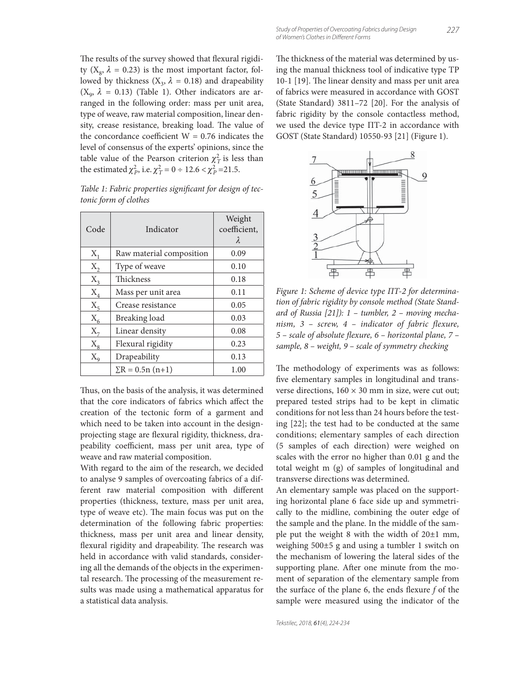The results of the survey showed that flexural rigidity ( $X_8$ ,  $\lambda = 0.23$ ) is the most important factor, followed by thickness  $(X_3, \lambda = 0.18)$  and drapeability  $(X_{\alpha}, \lambda = 0.13)$  (Table 1). Other indicators are arranged in the following order: mass per unit area, type of weave, raw material composition, linear density, crease resistance, breaking load. The value of the concordance coefficient  $W = 0.76$  indicates the level of consensus of the experts' opinions, since the table value of the Pearson criterion  $\chi^2$ <sub>*T*</sub> is less than the estimated  $\chi_P^2$ , i.e.  $\chi_T^2 = 0 \div 12.6 < \chi_P^2 = 21.5$ .

Table 1: Fabric properties significant for design of tec*tonic form of clothes*

| Code             | Indicator                | Weight<br>coefficient,<br>$\lambda$ |
|------------------|--------------------------|-------------------------------------|
| $X_1$            | Raw material composition | 0.09                                |
| $X_2$            | Type of weave            | 0.10                                |
| $X_3$            | Thickness                | 0.18                                |
| $X_4$            | Mass per unit area       | 0.11                                |
| $X_5$            | Crease resistance        | 0.05                                |
| $X_6$            | Breaking load            | 0.03                                |
| $X_7$            | Linear density           | 0.08                                |
| $X_{8}$          | Flexural rigidity        | 0.23                                |
| $X_{\mathsf{q}}$ | Drapeability             | 0.13                                |
|                  | $\Sigma$ R = 0.5n (n+1)  | 1.00                                |

Thus, on the basis of the analysis, it was determined that the core indicators of fabrics which affect the creation of the tectonic form of a garment and which need to be taken into account in the designprojecting stage are flexural rigidity, thickness, drapeability coefficient, mass per unit area, type of weave and raw material composition.

With regard to the aim of the research, we decided to analyse 9 samples of overcoating fabrics of a different raw material composition with different properties (thickness, texture, mass per unit area, type of weave etc). The main focus was put on the determination of the following fabric properties: thickness, mass per unit area and linear density, flexural rigidity and drapeability. The research was held in accordance with valid standards, considering all the demands of the objects in the experimental research. The processing of the measurement results was made using a mathematical apparatus for a statistical data analysis.

The thickness of the material was determined by using the manual thickness tool of indicative type ТР 10-1 [19]. The linear density and mass per unit area of fabrics were measured in accordance with GOST (State Standard) 3811–72 [20]. For the analysis of fabric rigidity by the console contactless method, we used the device type ПT-2 in accordance with GOST (State Standard) 10550-93 [21] (Figure 1).



*Figure 1: Scheme of device type ПT-2 for determination of fabric rigidity by console method (State Standard of Russia [21]): 1 – tumbler, 2 – moving mechanism, 3 – screw, 4 – indicator of fabric flexure, 5 – scale of absolute fl exure, 6 – horizontal plane, 7 – sample, 8 – weight, 9 – scale of symmetry checking*

The methodology of experiments was as follows: five elementary samples in longitudinal and transverse directions,  $160 \times 30$  mm in size, were cut out; prepared tested strips had to be kept in climatic conditions for not less than 24 hours before the testing [22]; the test had to be conducted at the same conditions; elementary samples of each direction (5 samples of each direction) were weighed on scales with the error no higher than 0.01 g and the total weight m (g) of samples of longitudinal and transverse directions was determined.

An elementary sample was placed on the supporting horizontal plane 6 face side up and symmetrically to the midline, combining the outer edge of the sample and the plane. In the middle of the sample put the weight 8 with the width of 20±1 mm, weighing 500±5 g and using a tumbler 1 switch on the mechanism of lowering the lateral sides of the supporting plane. After one minute from the moment of separation of the elementary sample from the surface of the plane 6, the ends flexure f of the sample were measured using the indicator of the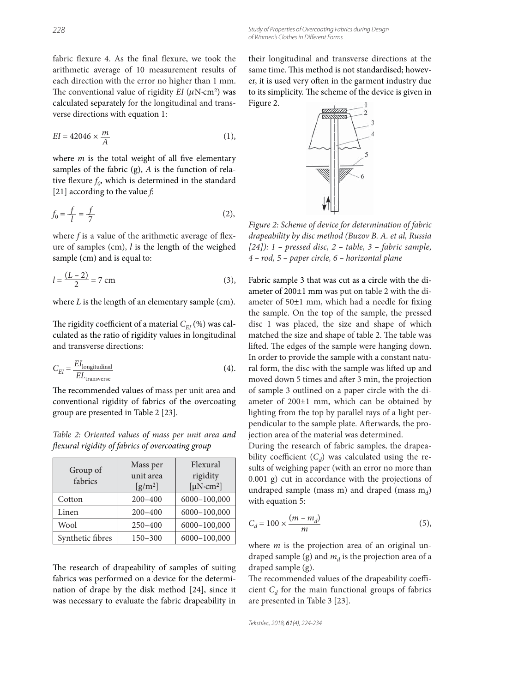fabric flexure 4. As the final flexure, we took the arithmetic average of 10 measurement results of each direction with the error no higher than 1 mm. The conventional value of rigidity  $EI (\mu N \cdot cm^2)$  was calculated separately for the longitudinal and transverse directions with equation 1:

$$
EI = 42046 \times \frac{m}{A} \tag{1}
$$

where  $m$  is the total weight of all five elementary samples of the fabric (g), *A* is the function of relative flexure  $f_0$ , which is determined in the standard [21] according to the value *f*:

$$
f_0 = \frac{f}{l} = \frac{f}{7}
$$
 (2),

where  $f$  is a value of the arithmetic average of flexure of samples (cm), *l* is the length of the weighed sample (cm) and is equal to:

$$
l = \frac{(L-2)}{2} = 7 \text{ cm}
$$
 (3),

where *L* is the length of an elementary sample (cm).

The rigidity coefficient of a material  $C_{E}$  (%) was calculated as the ratio of rigidity values in longitudinal and transverse directions:

$$
C_{EI} = \frac{EI_{\text{longitudinal}}}{EL_{\text{transverse}}}
$$
(4).

The recommended values of mass per unit area and conventional rigidity of fabrics of the overcoating group are presented in Table 2 [23].

*Table 2: Oriented values of mass per unit area and fl exural rigidity of fabrics of overcoating group*

| Group of<br>fabrics | Mass per<br>unit area<br>$\left[\frac{g}{m^2}\right]$ | Flexural<br>rigidity<br>[ $\mu$ N·cm <sup>2</sup> ] |  |  |
|---------------------|-------------------------------------------------------|-----------------------------------------------------|--|--|
| Cotton              | $200 - 400$                                           | 6000-100,000                                        |  |  |
| Linen               | $200 - 400$                                           | 6000-100,000                                        |  |  |
| Wool                | $250 - 400$                                           | 6000-100,000                                        |  |  |
| Synthetic fibres    | $150 - 300$                                           | 6000-100,000                                        |  |  |

The research of drapeability of samples of suiting fabrics was performed on a device for the determination of drape by the disk method [24], since it was necessary to evaluate the fabric drapeability in their longitudinal and transverse directions at the same time. This method is not standardised; however, it is used very often in the garment industry due to its simplicity. The scheme of the device is given in Figure 2.



*Figure 2: Scheme of device for determination of fabric drapeability by disc method (Buzov B. A. et al, Russia [24]): 1 – pressed disc, 2 – table, 3 – fabric sample, 4 – rod, 5 – paper circle, 6 – horizontal plane*

Fabric sample 3 that was cut as a circle with the diameter of 200±1 mm was put on table 2 with the diameter of  $50±1$  mm, which had a needle for fixing the sample. On the top of the sample, the pressed disc 1 was placed, the size and shape of which matched the size and shape of table 2. The table was lifted. The edges of the sample were hanging down. In order to provide the sample with a constant natural form, the disc with the sample was lifted up and moved down 5 times and after 3 min, the projection of sample 3 outlined on a paper circle with the diameter of 200±1 mm, which can be obtained by lighting from the top by parallel rays of a light perpendicular to the sample plate. Afterwards, the projection area of the material was determined.

During the research of fabric samples, the drapeability coefficient  $(C_d)$  was calculated using the results of weighing paper (with an error no more than 0.001 g) cut in accordance with the projections of undraped sample (mass m) and draped (mass  $m_d$ ) with equation 5:

$$
C_d = 100 \times \frac{(m - m_d)}{m} \tag{5}
$$

where *m* is the projection area of an original undraped sample (g) and  $m_d$  is the projection area of a draped sample (g).

The recommended values of the drapeability coefficient  $C_d$  for the main functional groups of fabrics are presented in Table 3 [23].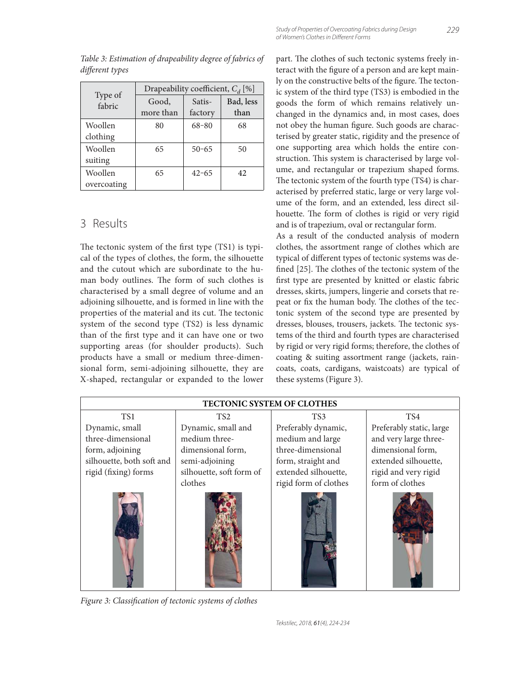|                   | Drapeability coefficient, $C_d$ [%] |           |           |  |  |  |  |
|-------------------|-------------------------------------|-----------|-----------|--|--|--|--|
| Type of<br>fabric | Good,                               | Satis-    | Bad, less |  |  |  |  |
|                   | more than                           | factory   | than      |  |  |  |  |
| Woollen           | 80                                  | $68 - 80$ | 68        |  |  |  |  |
| clothing          |                                     |           |           |  |  |  |  |
| Woollen           | 65                                  | $50 - 65$ | 50        |  |  |  |  |
| suiting           |                                     |           |           |  |  |  |  |
| Woollen           | 65                                  | $42 - 65$ | 42        |  |  |  |  |
| overcoating       |                                     |           |           |  |  |  |  |

*Table 3: Estimation of drapeability degree of fabrics of*  different types

#### 3 Results

The tectonic system of the first type (TS1) is typical of the types of clothes, the form, the silhouette and the cutout which are subordinate to the human body outlines. The form of such clothes is characterised by a small degree of volume and an adjoining silhouette, and is formed in line with the properties of the material and its cut. The tectonic system of the second type (ТS2) is less dynamic than of the first type and it can have one or two supporting areas (for shoulder products). Such products have a small or medium three-dimensional form, semi-adjoining silhouette, they are X-shaped, rectangular or expanded to the lower

part. The clothes of such tectonic systems freely interact with the figure of a person and are kept mainly on the constructive belts of the figure. The tectonic system of the third type (ТS3) is embodied in the goods the form of which remains relatively unchanged in the dynamics and, in most cases, does not obey the human figure. Such goods are characterised by greater static, rigidity and the presence of one supporting area which holds the entire construction. This system is characterised by large volume, and rectangular or trapezium shaped forms. The tectonic system of the fourth type (TS4) is characterised by preferred static, large or very large volume of the form, and an extended, less direct silhouette. The form of clothes is rigid or very rigid and is of trapezium, oval or rectangular form.

As a result of the conducted analysis of modern clothes, the assortment range of clothes which are typical of different types of tectonic systems was defined [25]. The clothes of the tectonic system of the first type are presented by knitted or elastic fabric dresses, skirts, jumpers, lingerie and corsets that repeat or fix the human body. The clothes of the tectonic system of the second type are presented by dresses, blouses, trousers, jackets. The tectonic systems of the third and fourth types are characterised by rigid or very rigid forms; therefore, the clothes of coating & suiting assortment range (jackets, raincoats, coats, cardigans, waistcoats) are typical of these systems (Figure 3).



Figure 3: Classification of tectonic systems of clothes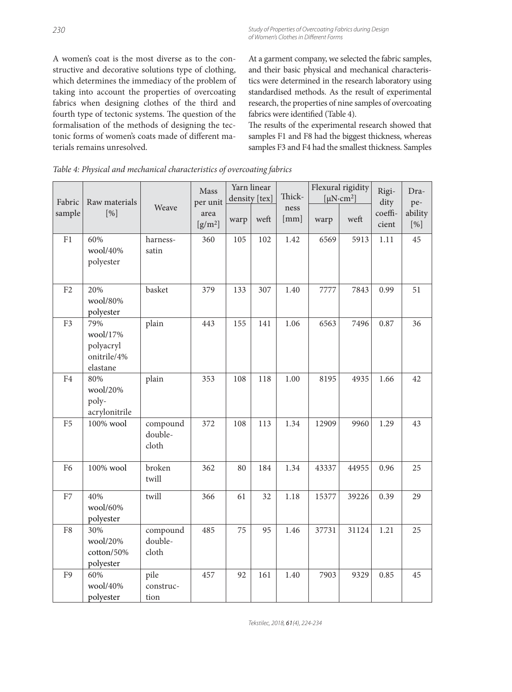A women's coat is the most diverse as to the constructive and decorative solutions type of clothing, which determines the immediacy of the problem of taking into account the properties of overcoating fabrics when designing clothes of the third and fourth type of tectonic systems. The question of the formalisation of the methods of designing the tectonic forms of women's coats made of different materials remains unresolved.

At a garment company, we selected the fabric samples, and their basic physical and mechanical characteristics were determined in the research laboratory using standardised methods. As the result of experimental research, the properties of nine samples of overcoating fabrics were identified (Table 4).

The results of the experimental research showed that samples F1 and F8 had the biggest thickness, whereas samples F3 and F4 had the smallest thickness. Samples

| Fabric         | Raw materials<br>[%]                                    | Weave                        | Mass<br>per unit  | Yarn linear<br>density [tex] |      | Thick-       | Flexural rigidity<br>[ $\mu$ N·cm <sup>2</sup> ] |       | Rigi-<br>dity    | Dra-<br>pe-    |
|----------------|---------------------------------------------------------|------------------------------|-------------------|------------------------------|------|--------------|--------------------------------------------------|-------|------------------|----------------|
| sample         |                                                         |                              | area<br>$[g/m^2]$ | warp                         | weft | ness<br>[mm] | warp                                             | weft  | coeffi-<br>cient | ability<br>[%] |
| F1             | 60%<br>wool/40%<br>polyester                            | harness-<br>satin            | 360               | 105                          | 102  | 1.42         | 6569                                             | 5913  | 1.11             | 45             |
| F <sub>2</sub> | 20%<br>wool/80%<br>polyester                            | basket                       | 379               | 133                          | 307  | 1.40         | 7777                                             | 7843  | 0.99             | 51             |
| F3             | 79%<br>wool/17%<br>polyacryl<br>onitrile/4%<br>elastane | plain                        | 443               | 155                          | 141  | 1.06         | 6563                                             | 7496  | 0.87             | 36             |
| F <sub>4</sub> | 80%<br>wool/20%<br>poly-<br>acrylonitrile               | plain                        | 353               | 108                          | 118  | 1.00         | 8195                                             | 4935  | 1.66             | 42             |
| ${\rm F}5$     | $100\%$ wool                                            | compound<br>double-<br>cloth | 372               | 108                          | 113  | 1.34         | 12909                                            | 9960  | 1.29             | 43             |
| F <sub>6</sub> | 100% wool                                               | broken<br>twill              | 362               | 80                           | 184  | 1.34         | 43337                                            | 44955 | 0.96             | 25             |
| ${\rm F}7$     | 40%<br>wool/60%<br>polyester                            | twill                        | 366               | 61                           | 32   | 1.18         | 15377                                            | 39226 | 0.39             | 29             |
| F8             | 30%<br>wool/20%<br>cotton/50%<br>polyester              | compound<br>double-<br>cloth | 485               | 75                           | 95   | 1.46         | 37731                                            | 31124 | 1.21             | 25             |
| F <sub>9</sub> | 60%<br>wool/40%<br>polyester                            | pile<br>construc-<br>tion    | 457               | 92                           | 161  | 1.40         | 7903                                             | 9329  | 0.85             | 45             |

*Table 4: Physical and mechanical characteristics of overcoating fabrics*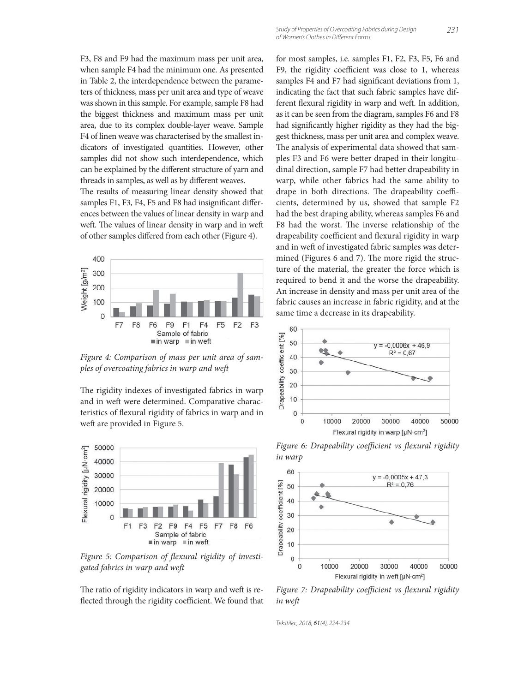F3, F8 and F9 had the maximum mass per unit area, when sample F4 had the minimum one. As presented in Table 2, the interdependence between the parameters of thickness, mass per unit area and type of weave was shown in this sample. For example, sample F8 had the biggest thickness and maximum mass per unit area, due to its complex double-layer weave. Sample F4 of linen weave was characterised by the smallest indicators of investigated quantities. However, other samples did not show such interdependence, which can be explained by the different structure of yarn and threads in samples, as well as by different weaves.

The results of measuring linear density showed that samples F1, F3, F4, F5 and F8 had insignificant differences between the values of linear density in warp and weft. The values of linear density in warp and in weft of other samples differed from each other (Figure 4).



*Figure 4: Comparison of mass per unit area of samples of overcoating fabrics in warp and weft*

The rigidity indexes of investigated fabrics in warp and in weft were determined. Comparative characteristics of flexural rigidity of fabrics in warp and in weft are provided in Figure 5.



Figure 5: Comparison of flexural rigidity of investi*gated fabrics in warp and weft*

The ratio of rigidity indicators in warp and weft is reflected through the rigidity coefficient. We found that for most samples, i.e. samples F1, F2, F3, F5, F6 and F9, the rigidity coefficient was close to 1, whereas samples F4 and F7 had significant deviations from 1, indicating the fact that such fabric samples have different flexural rigidity in warp and weft. In addition, as it can be seen from the diagram, samples F6 and F8 had significantly higher rigidity as they had the biggest thickness, mass per unit area and complex weave. The analysis of experimental data showed that samples F3 and F6 were better draped in their longitudinal direction, sample F7 had better drapeability in warp, while other fabrics had the same ability to drape in both directions. The drapeability coefficients, determined by us, showed that sample F2 had the best draping ability, whereas samples F6 and F8 had the worst. The inverse relationship of the drapeability coefficient and flexural rigidity in warp and in weft of investigated fabric samples was determined (Figures 6 and 7). The more rigid the structure of the material, the greater the force which is required to bend it and the worse the drapeability. An increase in density and mass per unit area of the fabric causes an increase in fabric rigidity, and at the same time a decrease in its drapeability.



*Figure 6: Drapeability coefficient vs flexural rigidity in warp*



Figure 7: Drapeability coefficient vs flexural rigidity *in weft*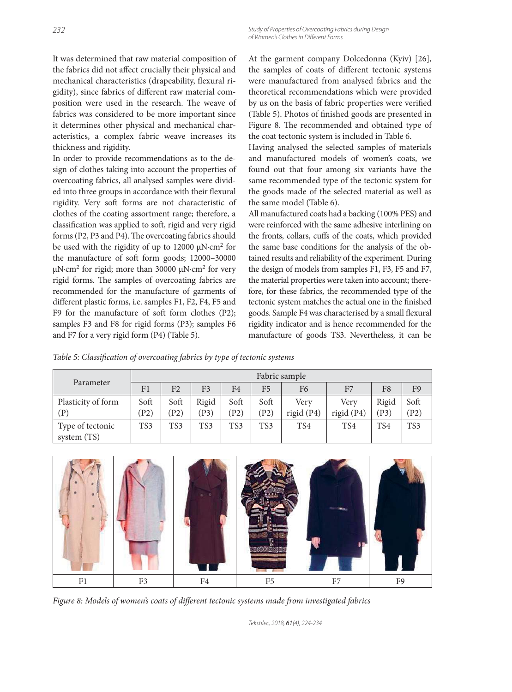It was determined that raw material composition of the fabrics did not affect crucially their physical and mechanical characteristics (drapeability, flexural rigidity), since fabrics of different raw material composition were used in the research. The weave of fabrics was considered to be more important since it determines other physical and mechanical characteristics, a complex fabric weave increases its thickness and rigidity.

In order to provide recommendations as to the design of clothes taking into account the properties of overcoating fabrics, all analysed samples were divided into three groups in accordance with their flexural rigidity. Very soft forms are not characteristic of clothes of the coating assortment range; therefore, a classification was applied to soft, rigid and very rigid forms (P2, P3 and P4). The overcoating fabrics should be used with the rigidity of up to 12000 μN·cm2 for the manufacture of soft form goods; 12000–30000 μN·cm<sup>2</sup> for rigid; more than 30000 μN·cm<sup>2</sup> for very rigid forms. The samples of overcoating fabrics are recommended for the manufacture of garments of different plastic forms, i.e. samples F1, F2, F4, F5 and F9 for the manufacture of soft form clothes (P2); samples F3 and F8 for rigid forms (P3); samples F6 and F7 for a very rigid form (P4) (Table 5).

At the garment company Dolcedonna (Kyiv) [26], the samples of coats of different tectonic systems were manufactured from analysed fabrics and the theoretical recommendations which were provided by us on the basis of fabric properties were verified (Table 5). Photos of finished goods are presented in Figure 8. The recommended and obtained type of the coat tectonic system is included in Table 6.

Having analysed the selected samples of materials and manufactured models of women's coats, we found out that four among six variants have the same recommended type of the tectonic system for the goods made of the selected material as well as the same model (Table 6).

All manufactured coats had a backing (100% PES) and were reinforced with the same adhesive interlining on the fronts, collars, cuffs of the coats, which provided the same base conditions for the analysis of the obtained results and reliability of the experiment. During the design of models from samples F1, F3, F5 and F7, the material properties were taken into account; therefore, for these fabrics, the recommended type of the tectonic system matches the actual one in the finished goods. Sample F4 was characterised by a small flexural rigidity indicator and is hence recommended for the manufacture of goods TS3. Nevertheless, it can be

*Table 5: Classification of overcoating fabrics by type of tectonic systems* 

|                                 | Fabric sample |              |                 |              |                |                      |                      |               |                |
|---------------------------------|---------------|--------------|-----------------|--------------|----------------|----------------------|----------------------|---------------|----------------|
| Parameter                       | F1            | F2           | F3              | F4           | F <sub>5</sub> | F6                   | F7                   | F8            | F <sub>9</sub> |
| Plasticity of form<br>(P)       | Soft<br>(P2)  | Soft<br>(P2) | Rigid<br>(P3)   | Soft<br>(P2) | Soft<br>(P2)   | Very<br>rigid $(P4)$ | Verv<br>rigid $(P4)$ | Rigid<br>(P3) | Soft<br>P2)    |
| Type of tectonic<br>system (TS) | TS3           | TS3          | TS <sub>3</sub> | TS3          | TS3            | TS4                  | TS4                  | TS4           | TS3            |



Figure 8: Models of women's coats of different tectonic systems made from investigated fabrics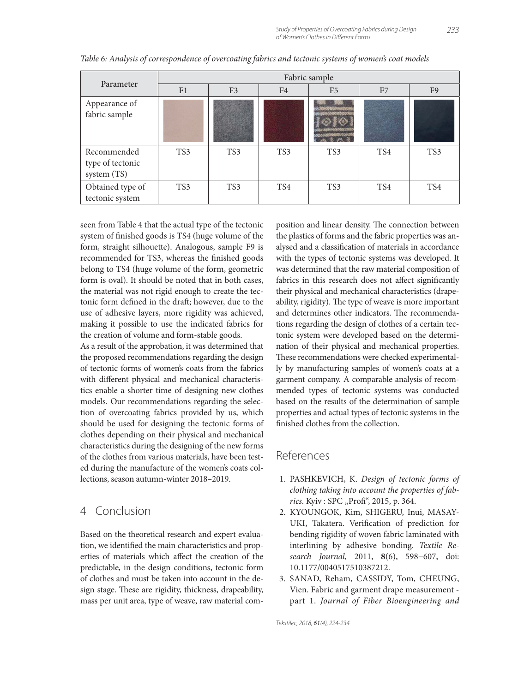|                                                | Fabric sample |                |                |                |     |                |  |  |  |
|------------------------------------------------|---------------|----------------|----------------|----------------|-----|----------------|--|--|--|
| Parameter                                      | F1            | F <sub>3</sub> | F <sub>4</sub> | F <sub>5</sub> | F7  | F <sub>9</sub> |  |  |  |
| Appearance of<br>fabric sample                 |               |                |                |                |     |                |  |  |  |
| Recommended<br>type of tectonic<br>system (TS) | TS3           | TS3            | TS3            | TS3            | TS4 | TS3            |  |  |  |
| Obtained type of<br>tectonic system            | TS3           | TS3            | TS4            | TS3            | TS4 | TS4            |  |  |  |

*Table 6: Analysis of correspondence of overcoating fabrics and tectonic systems of women's coat models*

seen from Table 4 that the actual type of the tectonic system of finished goods is TS4 (huge volume of the form, straight silhouette). Analogous, sample F9 is recommended for TS3, whereas the finished goods belong to TS4 (huge volume of the form, geometric form is oval). It should be noted that in both cases, the material was not rigid enough to create the tectonic form defined in the draft; however, due to the use of adhesive layers, more rigidity was achieved, making it possible to use the indicated fabrics for the creation of volume and form-stable goods.

As a result of the approbation, it was determined that the proposed recommendations regarding the design of tectonic forms of women's coats from the fabrics with different physical and mechanical characteristics enable a shorter time of designing new clothes models. Our recommendations regarding the selection of overcoating fabrics provided by us, which should be used for designing the tectonic forms of clothes depending on their physical and mechanical characteristics during the designing of the new forms of the clothes from various materials, have been tested during the manufacture of the women's coats collections, season autumn-winter 2018–2019.

#### 4 Conclusion

Based on the theoretical research and expert evaluation, we identified the main characteristics and properties of materials which affect the creation of the predictable, in the design conditions, tectonic form of clothes and must be taken into account in the design stage. These are rigidity, thickness, drapeability, mass per unit area, type of weave, raw material composition and linear density. The connection between the plastics of forms and the fabric properties was analysed and a classification of materials in accordance with the types of tectonic systems was developed. It was determined that the raw material composition of fabrics in this research does not affect significantly their physical and mechanical characteristics (drapeability, rigidity). The type of weave is more important and determines other indicators. The recommendations regarding the design of clothes of a certain tectonic system were developed based on the determination of their physical and mechanical properties. These recommendations were checked experimentally by manufacturing samples of women's coats at a garment company. A comparable analysis of recommended types of tectonic systems was conducted based on the results of the determination of sample properties and actual types of tectonic systems in the finished clothes from the collection.

#### References

- 1. PASHKEVICH, K. *Design of tectonic forms of clothing taking into account the properties of fabrics*. Kyiv : SPC "Profi", 2015, p. 364.
- 2. KYOUNGOK, Kim, SHIGERU, Inui, MASAY-UKI, Takatera. Verification of prediction for bending rigidity of woven fabric laminated with interlining by adhesive bonding. *Textile Research Journal*, 2011, **8**(6), 598−607, doi: 10.1177/0040517510387212.
- 3. SANAD, Reham, CASSIDY, Tom, CHEUNG, Vien. Fabric and garment drape measurement part 1. *Journal of Fiber Bioengineering and*